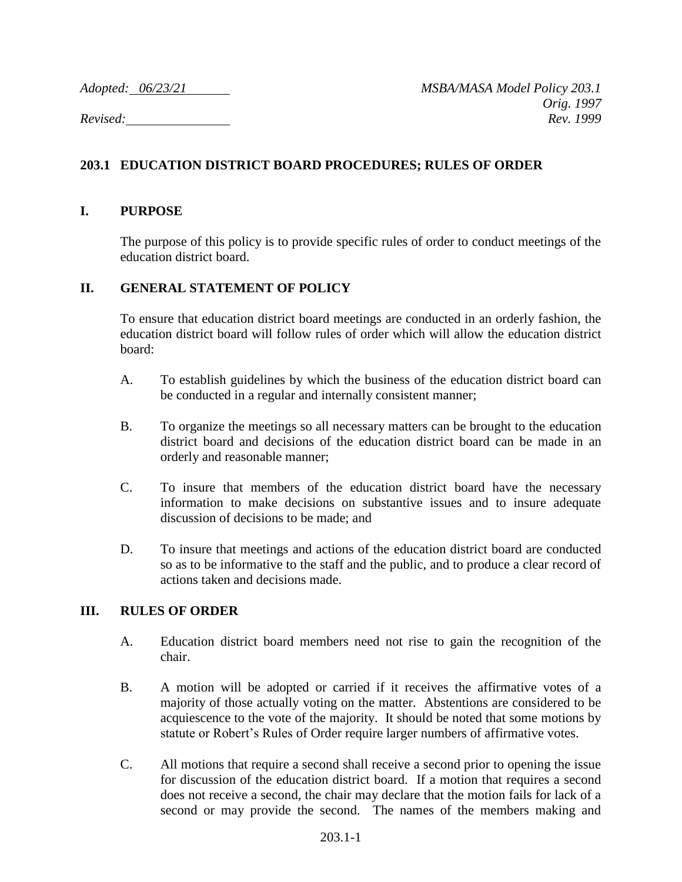## **203.1 EDUCATION DISTRICT BOARD PROCEDURES; RULES OF ORDER**

## **I. PURPOSE**

The purpose of this policy is to provide specific rules of order to conduct meetings of the education district board.

## **II. GENERAL STATEMENT OF POLICY**

To ensure that education district board meetings are conducted in an orderly fashion, the education district board will follow rules of order which will allow the education district board:

- A. To establish guidelines by which the business of the education district board can be conducted in a regular and internally consistent manner;
- B. To organize the meetings so all necessary matters can be brought to the education district board and decisions of the education district board can be made in an orderly and reasonable manner;
- C. To insure that members of the education district board have the necessary information to make decisions on substantive issues and to insure adequate discussion of decisions to be made; and
- D. To insure that meetings and actions of the education district board are conducted so as to be informative to the staff and the public, and to produce a clear record of actions taken and decisions made.

## **III. RULES OF ORDER**

- A. Education district board members need not rise to gain the recognition of the chair.
- B. A motion will be adopted or carried if it receives the affirmative votes of a majority of those actually voting on the matter. Abstentions are considered to be acquiescence to the vote of the majority. It should be noted that some motions by statute or Robert's Rules of Order require larger numbers of affirmative votes.
- C. All motions that require a second shall receive a second prior to opening the issue for discussion of the education district board. If a motion that requires a second does not receive a second, the chair may declare that the motion fails for lack of a second or may provide the second. The names of the members making and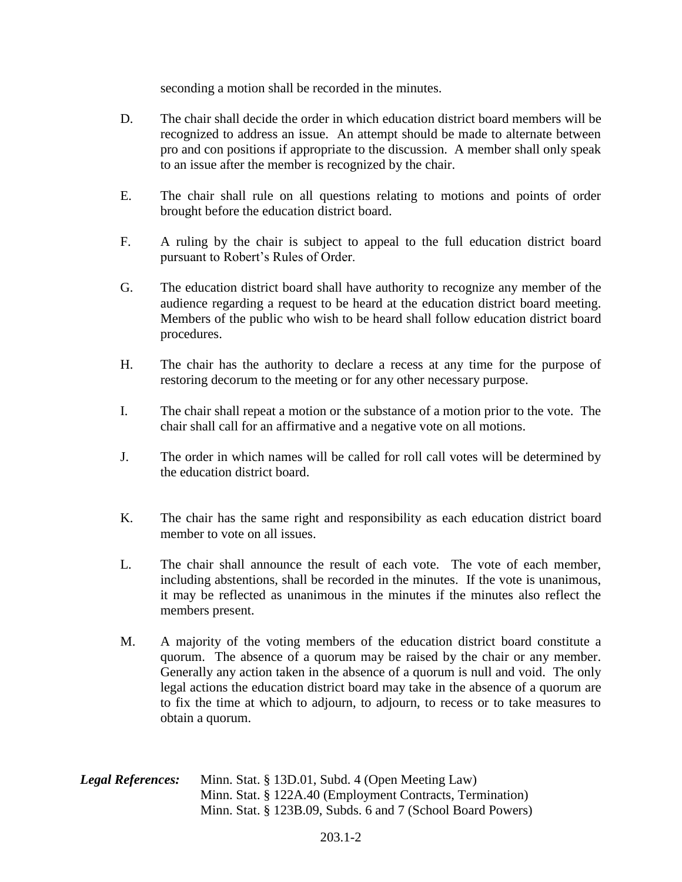seconding a motion shall be recorded in the minutes.

- D. The chair shall decide the order in which education district board members will be recognized to address an issue. An attempt should be made to alternate between pro and con positions if appropriate to the discussion. A member shall only speak to an issue after the member is recognized by the chair.
- E. The chair shall rule on all questions relating to motions and points of order brought before the education district board.
- F. A ruling by the chair is subject to appeal to the full education district board pursuant to Robert's Rules of Order.
- G. The education district board shall have authority to recognize any member of the audience regarding a request to be heard at the education district board meeting. Members of the public who wish to be heard shall follow education district board procedures.
- H. The chair has the authority to declare a recess at any time for the purpose of restoring decorum to the meeting or for any other necessary purpose.
- I. The chair shall repeat a motion or the substance of a motion prior to the vote. The chair shall call for an affirmative and a negative vote on all motions.
- J. The order in which names will be called for roll call votes will be determined by the education district board.
- K. The chair has the same right and responsibility as each education district board member to vote on all issues.
- L. The chair shall announce the result of each vote. The vote of each member, including abstentions, shall be recorded in the minutes. If the vote is unanimous, it may be reflected as unanimous in the minutes if the minutes also reflect the members present.
- M. A majority of the voting members of the education district board constitute a quorum. The absence of a quorum may be raised by the chair or any member. Generally any action taken in the absence of a quorum is null and void. The only legal actions the education district board may take in the absence of a quorum are to fix the time at which to adjourn, to adjourn, to recess or to take measures to obtain a quorum.

| <b>Legal References:</b> | Minn. Stat. § 13D.01, Subd. 4 (Open Meeting Law)            |
|--------------------------|-------------------------------------------------------------|
|                          | Minn. Stat. § 122A.40 (Employment Contracts, Termination)   |
|                          | Minn. Stat. § 123B.09, Subds. 6 and 7 (School Board Powers) |